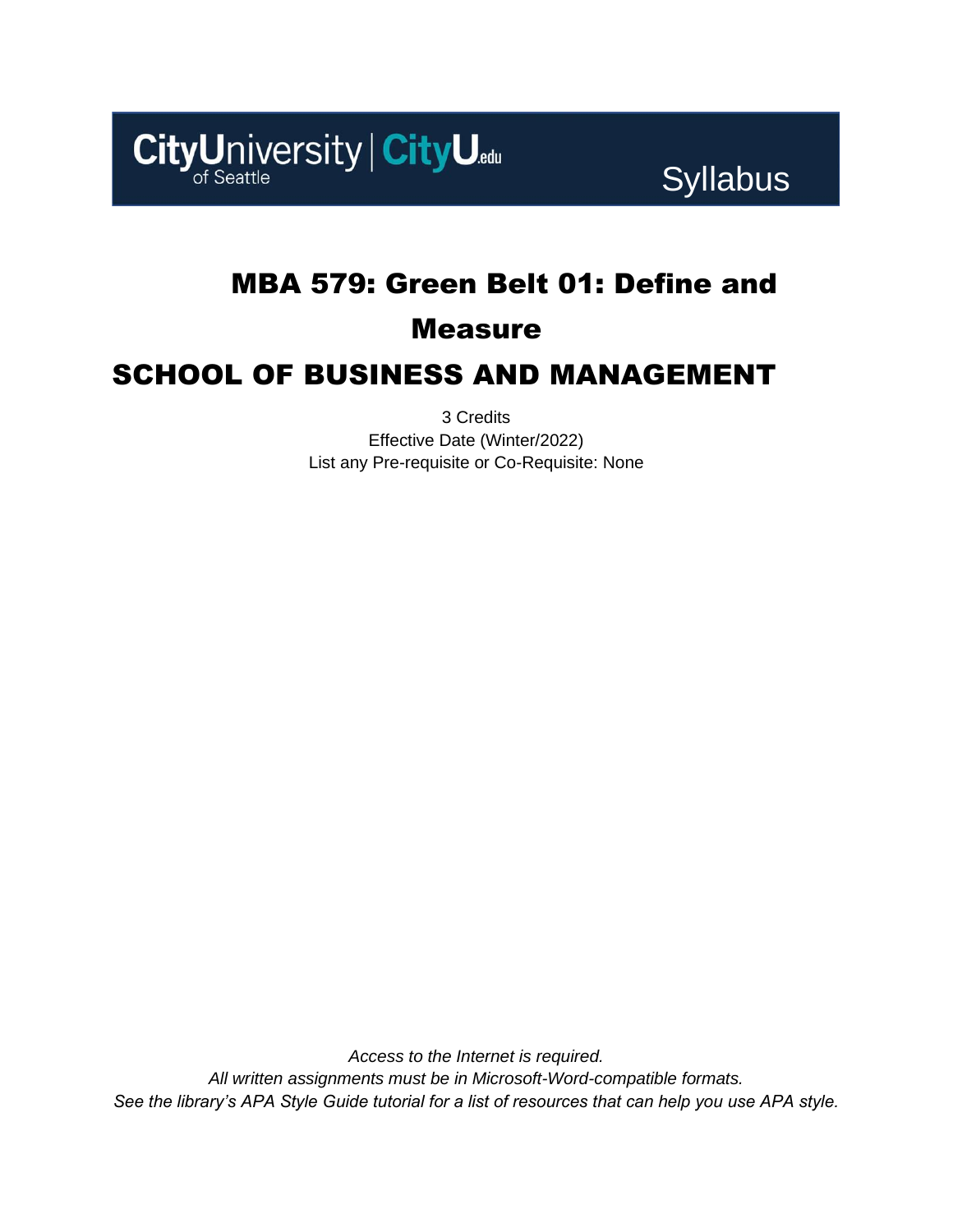

Syllabus

## MBA 579: Green Belt 01: Define and

### Measure

### SCHOOL OF BUSINESS AND MANAGEMENT

3 Credits Effective Date (Winter/2022) List any Pre-requisite or Co-Requisite: None

*Access to the Internet is required. All written assignments must be in Microsoft-Word-compatible formats. See the library's APA Style Guide tutorial for a list of resources that can help you use APA style.*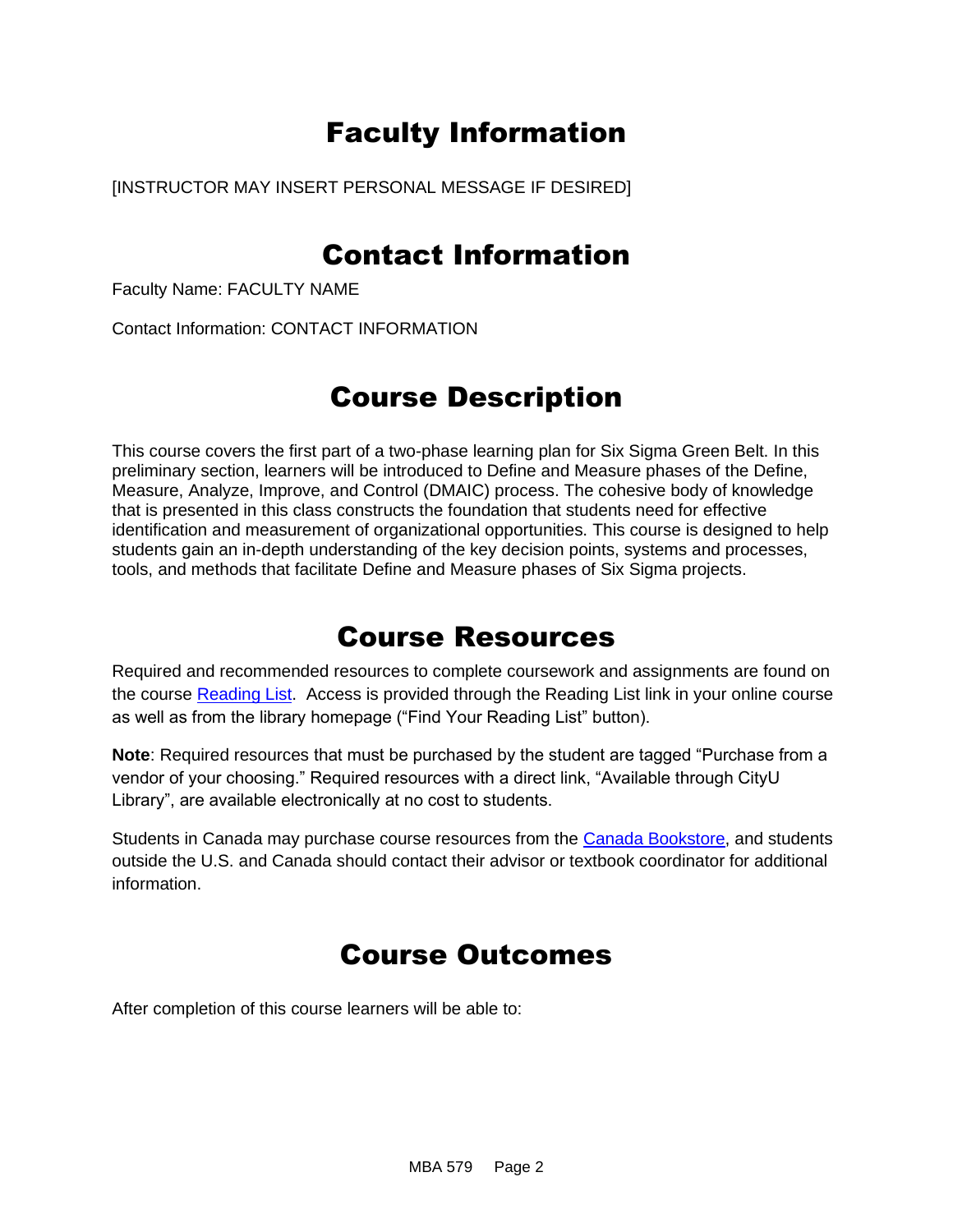# Faculty Information

[INSTRUCTOR MAY INSERT PERSONAL MESSAGE IF DESIRED]

## Contact Information

Faculty Name: FACULTY NAME

Contact Information: CONTACT INFORMATION

## Course Description

This course covers the first part of a two-phase learning plan for Six Sigma Green Belt. In this preliminary section, learners will be introduced to Define and Measure phases of the Define, Measure, Analyze, Improve, and Control (DMAIC) process. The cohesive body of knowledge that is presented in this class constructs the foundation that students need for effective identification and measurement of organizational opportunities. This course is designed to help students gain an in-depth understanding of the key decision points, systems and processes, tools, and methods that facilitate Define and Measure phases of Six Sigma projects.

### Course Resources

Required and recommended resources to complete coursework and assignments are found on the course [Reading List.](https://cityu.alma.exlibrisgroup.com/leganto/login?auth=SAML) Access is provided through the Reading List link in your online course as well as from the library homepage ("Find Your Reading List" button).

**Note**: Required resources that must be purchased by the student are tagged "Purchase from a vendor of your choosing." Required resources with a direct link, "Available through CityU Library", are available electronically at no cost to students.

Students in Canada may purchase course resources from the [Canada Bookstore,](https://www.cityubookstore.ca/index.asp) and students outside the U.S. and Canada should contact their advisor or textbook coordinator for additional information.

## Course Outcomes

After completion of this course learners will be able to: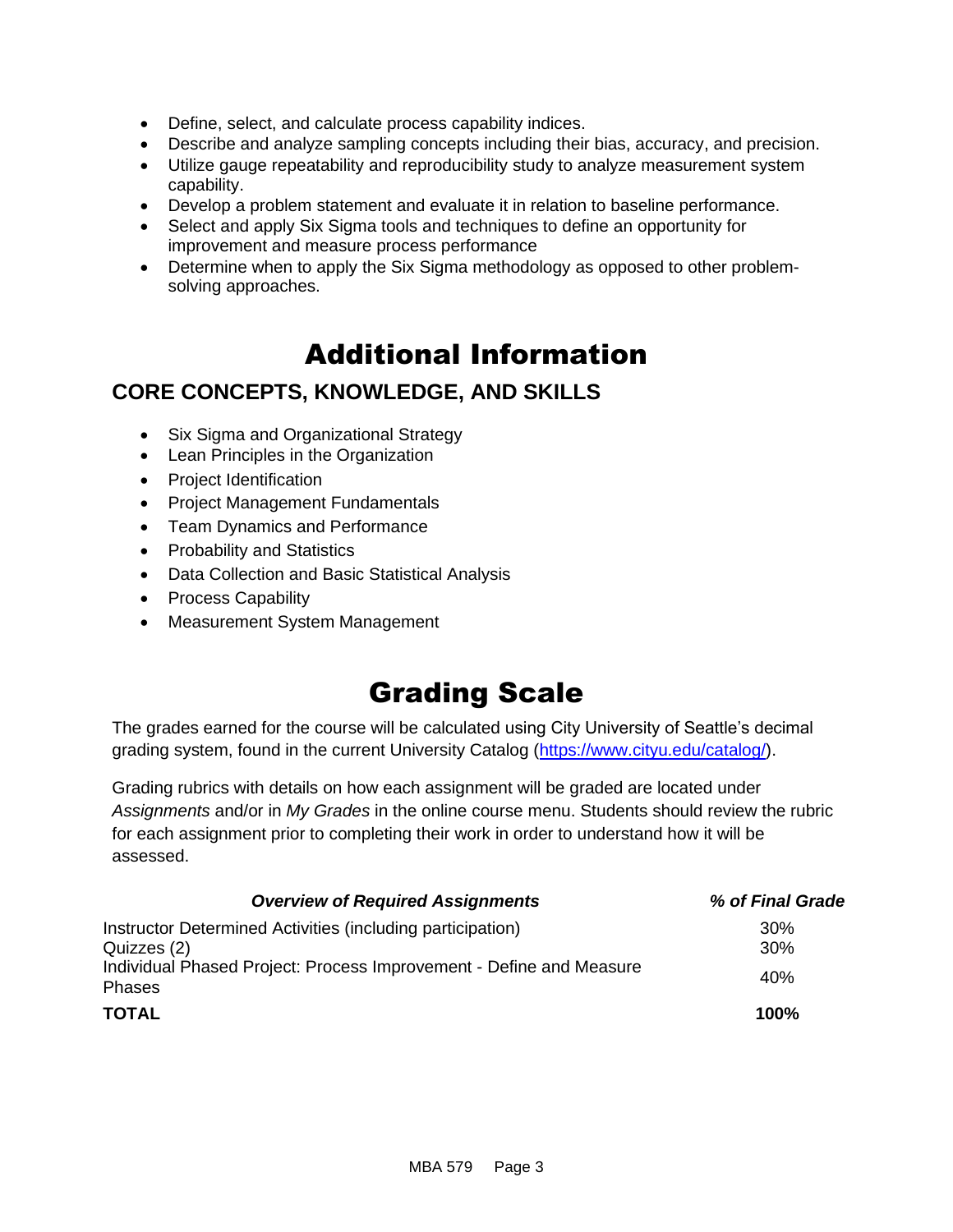- Define, select, and calculate process capability indices.
- Describe and analyze sampling concepts including their bias, accuracy, and precision.
- Utilize gauge repeatability and reproducibility study to analyze measurement system capability.
- Develop a problem statement and evaluate it in relation to baseline performance.
- Select and apply Six Sigma tools and techniques to define an opportunity for improvement and measure process performance
- Determine when to apply the Six Sigma methodology as opposed to other problemsolving approaches.

# Additional Information

### **CORE CONCEPTS, KNOWLEDGE, AND SKILLS**

- Six Sigma and Organizational Strategy
- Lean Principles in the Organization
- Project Identification
- Project Management Fundamentals
- Team Dynamics and Performance
- Probability and Statistics
- Data Collection and Basic Statistical Analysis
- Process Capability
- Measurement System Management

# Grading Scale

The grades earned for the course will be calculated using City University of Seattle's decimal grading system, found in the current University Catalog [\(https://www.cityu.edu/catalog/\)](https://www.cityu.edu/catalog/).

Grading rubrics with details on how each assignment will be graded are located under *Assignments* and/or in *My Grades* in the online course menu. Students should review the rubric for each assignment prior to completing their work in order to understand how it will be assessed.

| <b>Overview of Required Assignments</b>                                       | % of Final Grade |
|-------------------------------------------------------------------------------|------------------|
| Instructor Determined Activities (including participation)                    | 30%              |
| Quizzes (2)                                                                   | 30%              |
| Individual Phased Project: Process Improvement - Define and Measure<br>Phases | 40%              |
| TOTAL                                                                         | 100%             |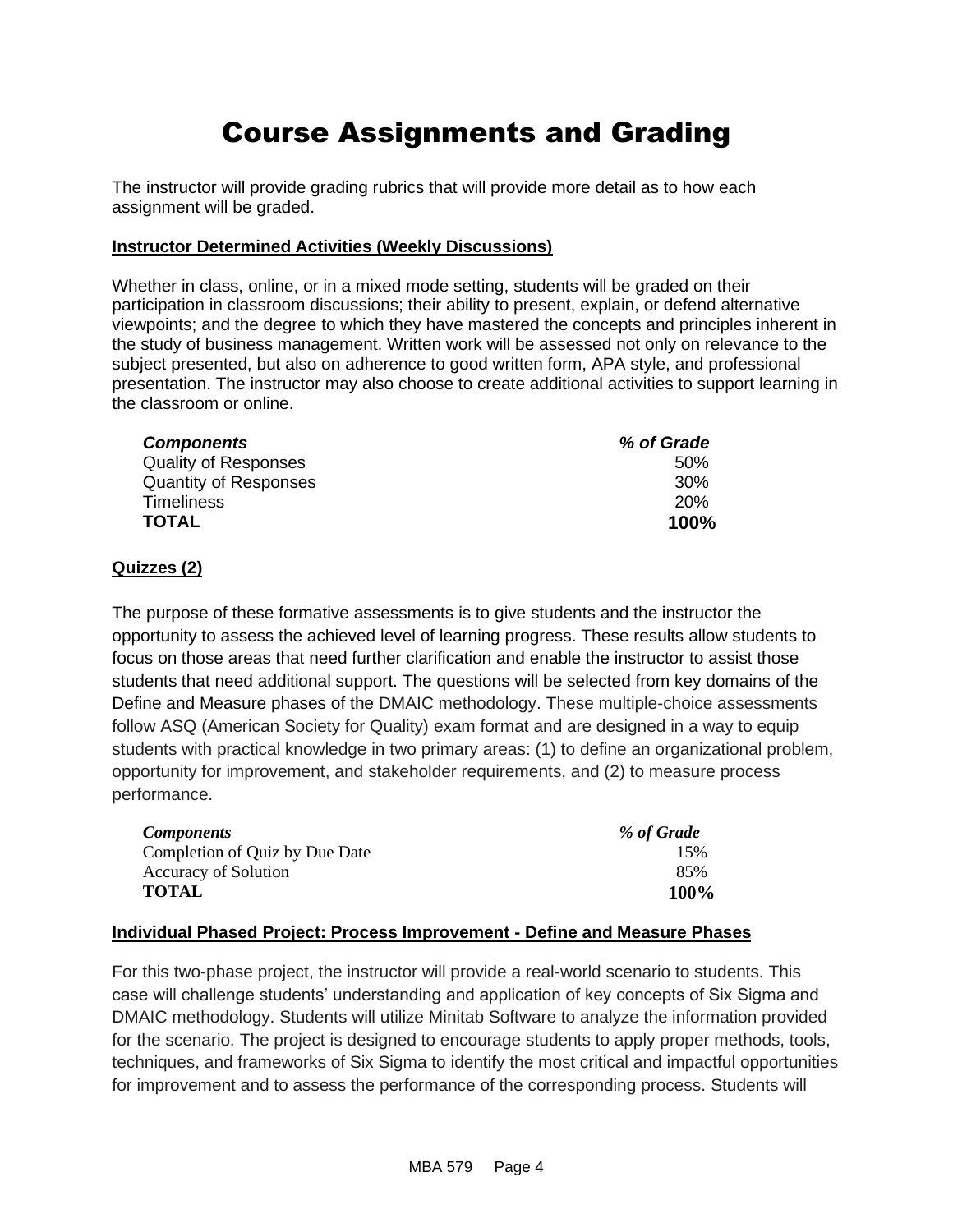# Course Assignments and Grading

The instructor will provide grading rubrics that will provide more detail as to how each assignment will be graded.

#### **Instructor Determined Activities (Weekly Discussions)**

Whether in class, online, or in a mixed mode setting, students will be graded on their participation in classroom discussions; their ability to present, explain, or defend alternative viewpoints; and the degree to which they have mastered the concepts and principles inherent in the study of business management. Written work will be assessed not only on relevance to the subject presented, but also on adherence to good written form, APA style, and professional presentation. The instructor may also choose to create additional activities to support learning in the classroom or online.

| <b>Components</b>            | % of Grade |
|------------------------------|------------|
| <b>Quality of Responses</b>  | .50%       |
| <b>Quantity of Responses</b> | 30%        |
| Timeliness                   | <b>20%</b> |
| <b>TOTAL</b>                 | 100%       |

#### **Quizzes (2)**

The purpose of these formative assessments is to give students and the instructor the opportunity to assess the achieved level of learning progress. These results allow students to focus on those areas that need further clarification and enable the instructor to assist those students that need additional support. The questions will be selected from key domains of the Define and Measure phases of the DMAIC methodology. These multiple-choice assessments follow ASQ (American Society for Quality) exam format and are designed in a way to equip students with practical knowledge in two primary areas: (1) to define an organizational problem, opportunity for improvement, and stakeholder requirements, and (2) to measure process performance.

| <i>Components</i>              | % of Grade |
|--------------------------------|------------|
| Completion of Quiz by Due Date | 15%        |
| Accuracy of Solution           | 85%        |
| <b>TOTAL</b>                   | 100%       |

#### **Individual Phased Project: Process Improvement - Define and Measure Phases**

For this two-phase project, the instructor will provide a real-world scenario to students. This case will challenge students' understanding and application of key concepts of Six Sigma and DMAIC methodology. Students will utilize Minitab Software to analyze the information provided for the scenario. The project is designed to encourage students to apply proper methods, tools, techniques, and frameworks of Six Sigma to identify the most critical and impactful opportunities for improvement and to assess the performance of the corresponding process. Students will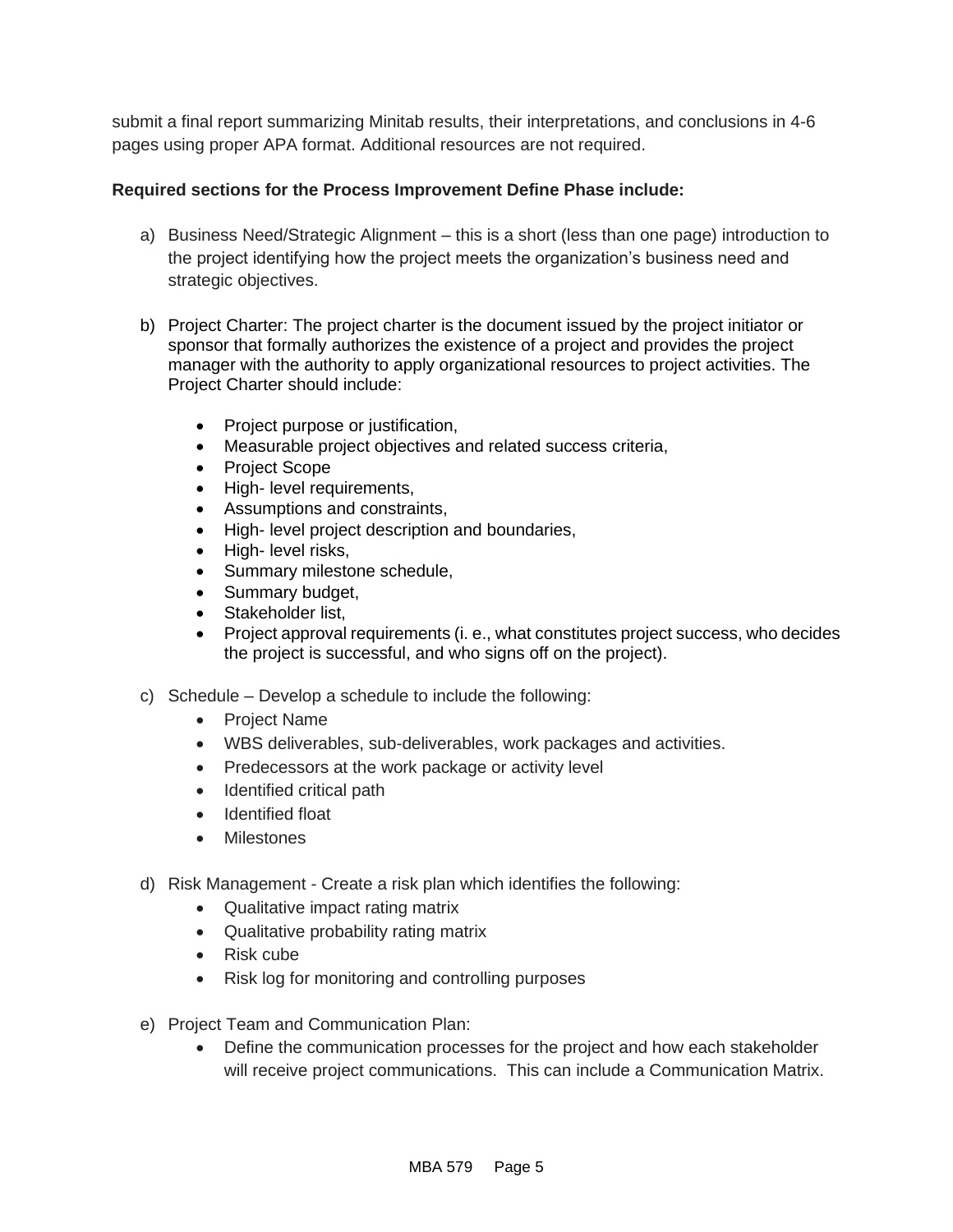submit a final report summarizing Minitab results, their interpretations, and conclusions in 4-6 pages using proper APA format. Additional resources are not required.

#### **Required sections for the Process Improvement Define Phase include:**

- a) Business Need/Strategic Alignment this is a short (less than one page) introduction to the project identifying how the project meets the organization's business need and strategic objectives.
- b) Project Charter: The project charter is the document issued by the project initiator or sponsor that formally authorizes the existence of a project and provides the project manager with the authority to apply organizational resources to project activities. The Project Charter should include:
	- Project purpose or justification,
	- Measurable project objectives and related success criteria,
	- Project Scope
	- High- level requirements,
	- Assumptions and constraints,
	- High- level project description and boundaries,
	- High- level risks,
	- Summary milestone schedule,
	- Summary budget,
	- Stakeholder list,
	- Project approval requirements (i. e., what constitutes project success, who decides the project is successful, and who signs off on the project).
- c) Schedule Develop a schedule to include the following:
	- Project Name
	- WBS deliverables, sub-deliverables, work packages and activities.
	- Predecessors at the work package or activity level
	- Identified critical path
	- Identified float
	- Milestones
- d) Risk Management Create a risk plan which identifies the following:
	- Qualitative impact rating matrix
	- Qualitative probability rating matrix
	- Risk cube
	- Risk log for monitoring and controlling purposes
- e) Project Team and Communication Plan:
	- Define the communication processes for the project and how each stakeholder will receive project communications. This can include a Communication Matrix.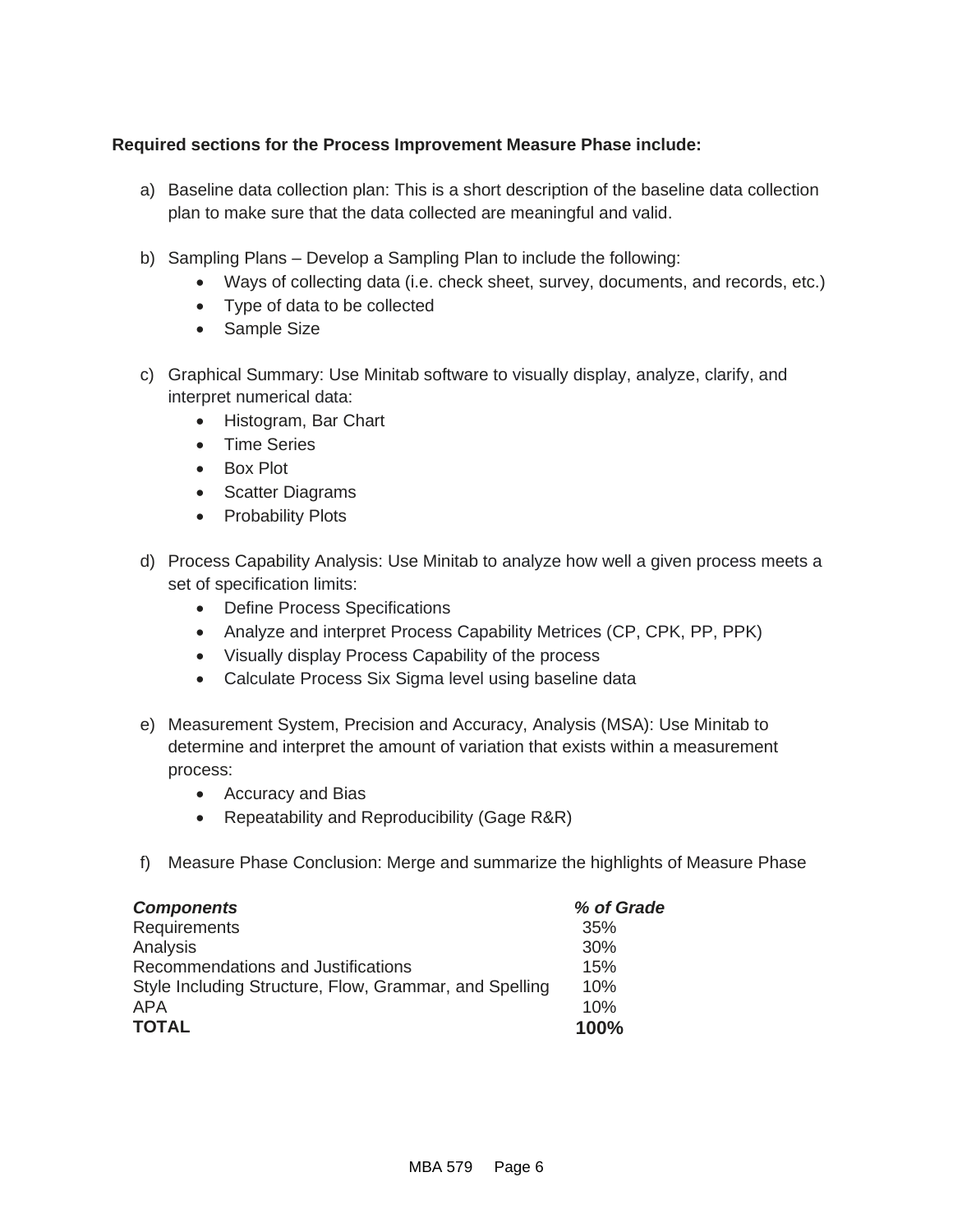### **Required sections for the Process Improvement Measure Phase include:**

- a) Baseline data collection plan: This is a short description of the baseline data collection plan to make sure that the data collected are meaningful and valid.
- b) Sampling Plans Develop a Sampling Plan to include the following:
	- Ways of collecting data (i.e. check sheet, survey, documents, and records, etc.)
	- Type of data to be collected
	- Sample Size
- c) Graphical Summary: Use Minitab software to visually display, analyze, clarify, and interpret numerical data:
	- Histogram, Bar Chart
	- Time Series
	- Box Plot
	- Scatter Diagrams
	- Probability Plots
- d) Process Capability Analysis: Use Minitab to analyze how well a given process meets a set of specification limits:
	- Define Process Specifications
	- Analyze and interpret Process Capability Metrices (CP, CPK, PP, PPK)
	- Visually display Process Capability of the process
	- Calculate Process Six Sigma level using baseline data
- e) Measurement System, Precision and Accuracy, Analysis (MSA): Use Minitab to determine and interpret the amount of variation that exists within a measurement process:
	- Accuracy and Bias
	- Repeatability and Reproducibility (Gage R&R)
- f) Measure Phase Conclusion: Merge and summarize the highlights of Measure Phase

| <b>Components</b>                                      | % of Grade |
|--------------------------------------------------------|------------|
| Requirements                                           | 35%        |
| Analysis                                               | 30%        |
| Recommendations and Justifications                     | 15%        |
| Style Including Structure, Flow, Grammar, and Spelling | 10%        |
| <b>APA</b>                                             | 10%        |
| <b>TOTAL</b>                                           | 100%       |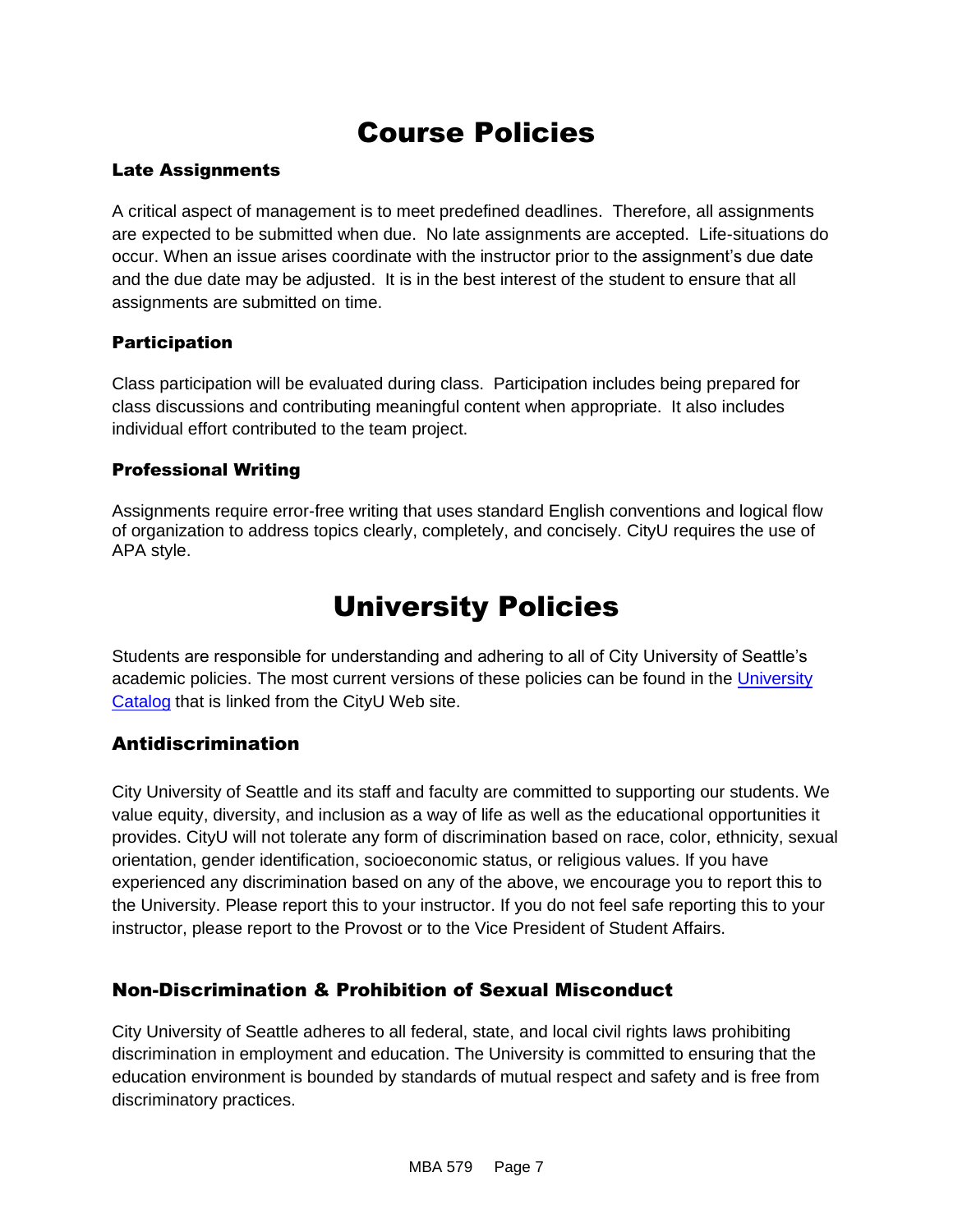# Course Policies

### Late Assignments

A critical aspect of management is to meet predefined deadlines. Therefore, all assignments are expected to be submitted when due. No late assignments are accepted. Life-situations do occur. When an issue arises coordinate with the instructor prior to the assignment's due date and the due date may be adjusted. It is in the best interest of the student to ensure that all assignments are submitted on time.

#### **Participation**

Class participation will be evaluated during class. Participation includes being prepared for class discussions and contributing meaningful content when appropriate. It also includes individual effort contributed to the team project.

#### Professional Writing

Assignments require error-free writing that uses standard English conventions and logical flow of organization to address topics clearly, completely, and concisely. CityU requires the use of APA style.

# University Policies

Students are responsible for understanding and adhering to all of City University of Seattle's academic policies. The most current versions of these policies can be found in the [University](http://www.cityu.edu/catalog/)  [Catalog](http://www.cityu.edu/catalog/) that is linked from the CityU Web site.

### Antidiscrimination

City University of Seattle and its staff and faculty are committed to supporting our students. We value equity, diversity, and inclusion as a way of life as well as the educational opportunities it provides. CityU will not tolerate any form of discrimination based on race, color, ethnicity, sexual orientation, gender identification, socioeconomic status, or religious values. If you have experienced any discrimination based on any of the above, we encourage you to report this to the University. Please report this to your instructor. If you do not feel safe reporting this to your instructor, please report to the Provost or to the Vice President of Student Affairs.

### Non-Discrimination & Prohibition of Sexual Misconduct

City University of Seattle adheres to all federal, state, and local civil rights laws prohibiting discrimination in employment and education. The University is committed to ensuring that the education environment is bounded by standards of mutual respect and safety and is free from discriminatory practices.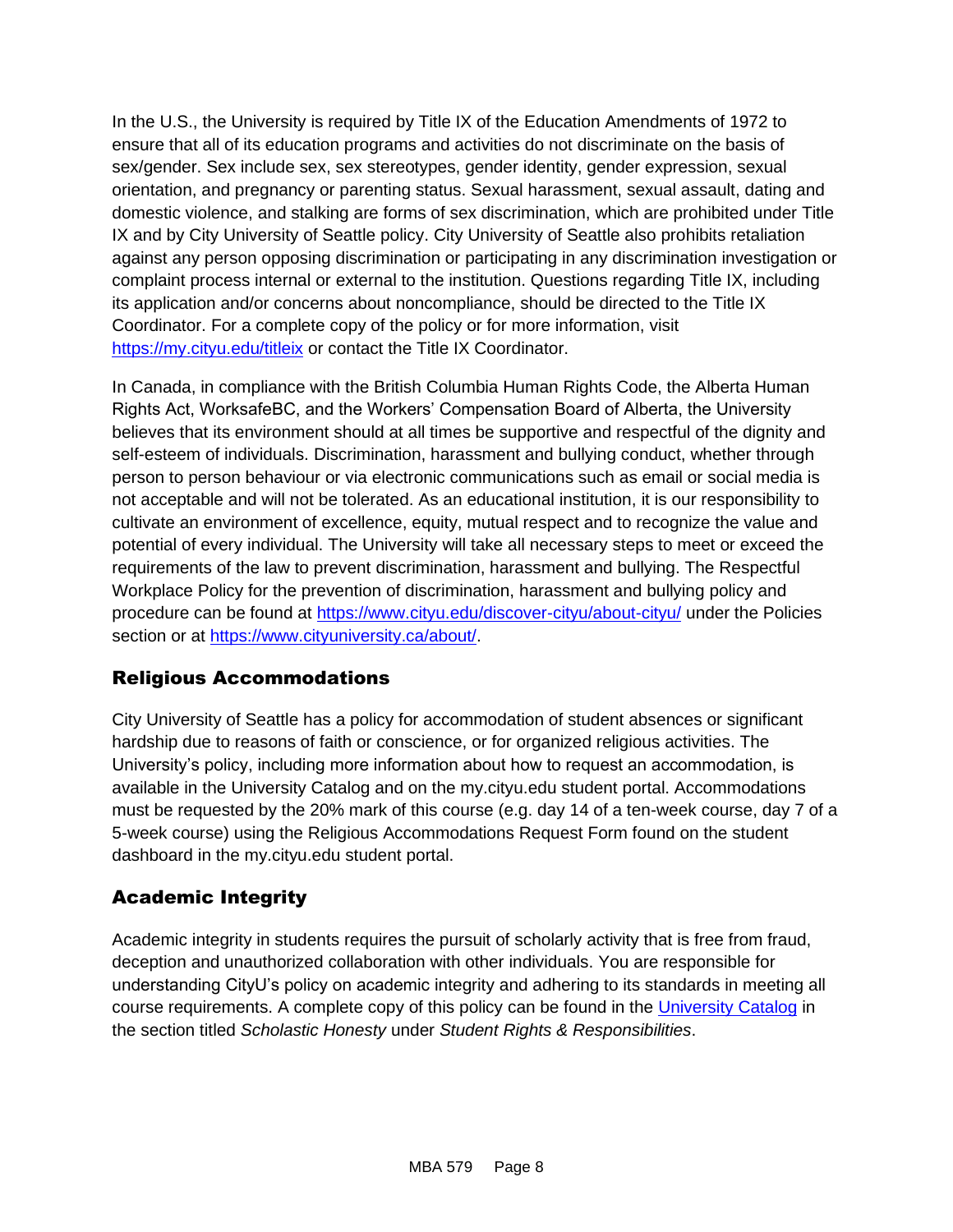In the U.S., the University is required by Title IX of the Education Amendments of 1972 to ensure that all of its education programs and activities do not discriminate on the basis of sex/gender. Sex include sex, sex stereotypes, gender identity, gender expression, sexual orientation, and pregnancy or parenting status. Sexual harassment, sexual assault, dating and domestic violence, and stalking are forms of sex discrimination, which are prohibited under Title IX and by City University of Seattle policy. City University of Seattle also prohibits retaliation against any person opposing discrimination or participating in any discrimination investigation or complaint process internal or external to the institution. Questions regarding Title IX, including its application and/or concerns about noncompliance, should be directed to the Title IX Coordinator. For a complete copy of the policy or for more information, visit <https://my.cityu.edu/titleix> or contact the Title IX Coordinator.

In Canada, in compliance with the British Columbia Human Rights Code, the Alberta Human Rights Act, WorksafeBC, and the Workers' Compensation Board of Alberta, the University believes that its environment should at all times be supportive and respectful of the dignity and self-esteem of individuals. Discrimination, harassment and bullying conduct, whether through person to person behaviour or via electronic communications such as email or social media is not acceptable and will not be tolerated. As an educational institution, it is our responsibility to cultivate an environment of excellence, equity, mutual respect and to recognize the value and potential of every individual. The University will take all necessary steps to meet or exceed the requirements of the law to prevent discrimination, harassment and bullying. The Respectful Workplace Policy for the prevention of discrimination, harassment and bullying policy and procedure can be found at<https://www.cityu.edu/discover-cityu/about-cityu/> under the Policies section or at [https://www.cityuniversity.ca/about/.](https://www.cityuniversity.ca/about/)

### Religious Accommodations

City University of Seattle has a policy for accommodation of student absences or significant hardship due to reasons of faith or conscience, or for organized religious activities. The University's policy, including more information about how to request an accommodation, is available in the University Catalog and on the my.cityu.edu student portal. Accommodations must be requested by the 20% mark of this course (e.g. day 14 of a ten-week course, day 7 of a 5-week course) using the Religious Accommodations Request Form found on the student dashboard in the my.cityu.edu student portal.

### Academic Integrity

Academic integrity in students requires the pursuit of scholarly activity that is free from fraud, deception and unauthorized collaboration with other individuals. You are responsible for understanding CityU's policy on academic integrity and adhering to its standards in meeting all course requirements. A complete copy of this policy can be found in the [University Catalog](http://www.cityu.edu/catalog/) in the section titled *Scholastic Honesty* under *Student Rights & Responsibilities*.